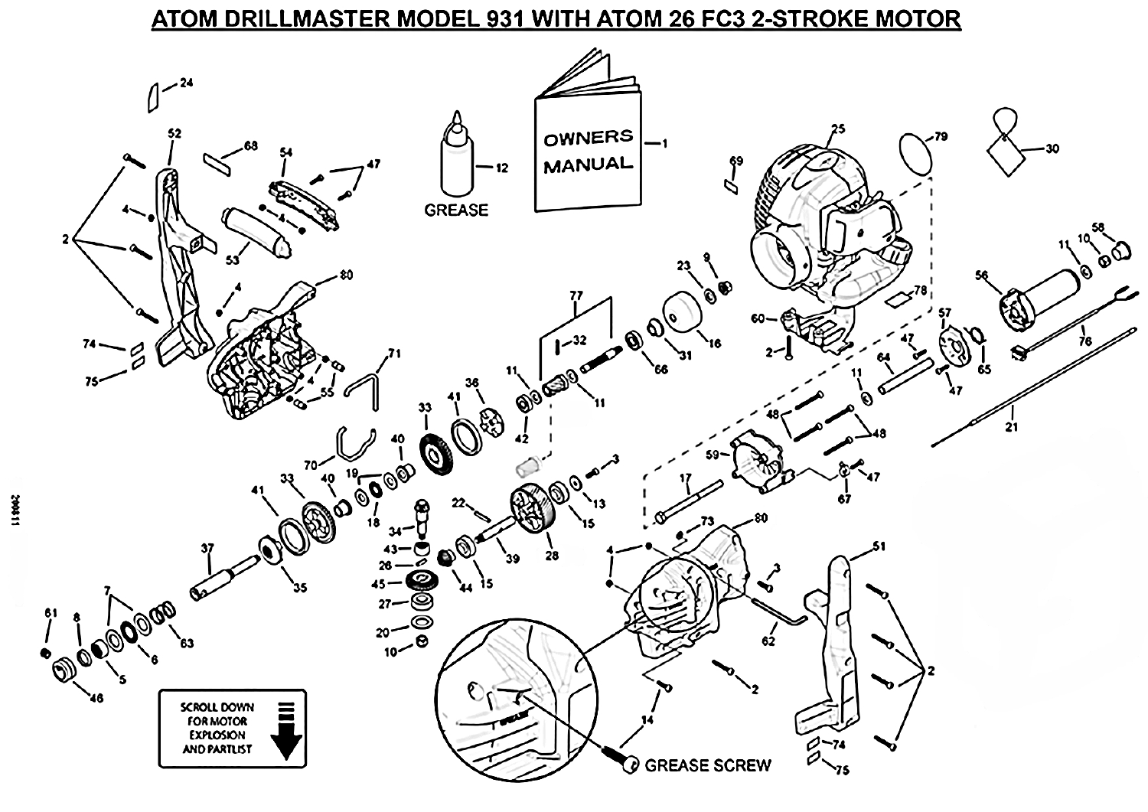## ATOM DRILLMASTER MODEL 931 WITH ATOM 26 FC3 2-STROKE MOTOR